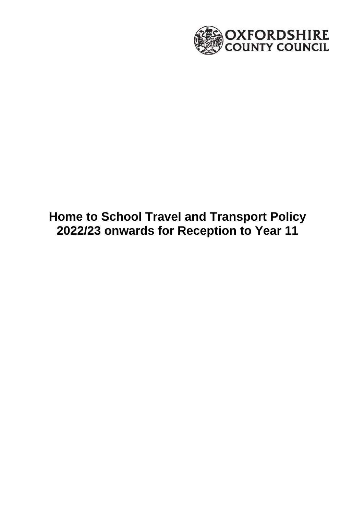

# **Home to School Travel and Transport Policy 2022/23 onwards for Reception to Year 11**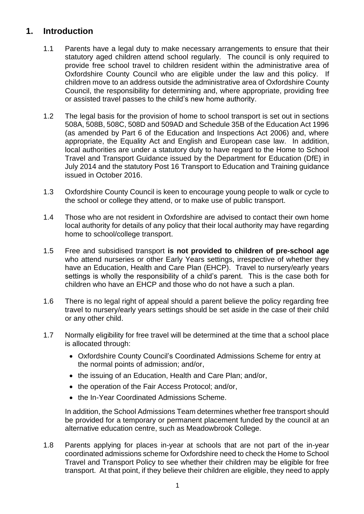# **1. Introduction**

- 1.1 Parents have a legal duty to make necessary arrangements to ensure that their statutory aged children attend school regularly. The council is only required to provide free school travel to children resident within the administrative area of Oxfordshire County Council who are eligible under the law and this policy. If children move to an address outside the administrative area of Oxfordshire County Council, the responsibility for determining and, where appropriate, providing free or assisted travel passes to the child's new home authority.
- 1.2 The legal basis for the provision of home to school transport is set out in sections 508A, 508B, 508C, 508D and 509AD and Schedule 35B of the Education Act 1996 (as amended by Part 6 of the Education and Inspections Act 2006) and, where appropriate, the Equality Act and English and European case law. In addition, local authorities are under a statutory duty to have regard to the Home to School Travel and Transport Guidance issued by the Department for Education (DfE) in July 2014 and the statutory Post 16 Transport to Education and Training guidance issued in October 2016.
- 1.3 Oxfordshire County Council is keen to encourage young people to walk or cycle to the school or college they attend, or to make use of public transport.
- 1.4 Those who are not resident in Oxfordshire are advised to contact their own home local authority for details of any policy that their local authority may have regarding home to school/college transport.
- 1.5 Free and subsidised transport **is not provided to children of pre-school age** who attend nurseries or other Early Years settings, irrespective of whether they have an Education, Health and Care Plan (EHCP). Travel to nursery/early years settings is wholly the responsibility of a child's parent. This is the case both for children who have an EHCP and those who do not have a such a plan.
- 1.6 There is no legal right of appeal should a parent believe the policy regarding free travel to nursery/early years settings should be set aside in the case of their child or any other child.
- 1.7 Normally eligibility for free travel will be determined at the time that a school place is allocated through:
	- Oxfordshire County Council's Coordinated Admissions Scheme for entry at the normal points of admission; and/or,
	- the issuing of an Education, Health and Care Plan; and/or,
	- the operation of the Fair Access Protocol; and/or,
	- the In-Year Coordinated Admissions Scheme.

In addition, the School Admissions Team determines whether free transport should be provided for a temporary or permanent placement funded by the council at an alternative education centre, such as Meadowbrook College.

1.8 Parents applying for places in-year at schools that are not part of the in-year coordinated admissions scheme for Oxfordshire need to check the Home to School Travel and Transport Policy to see whether their children may be eligible for free transport. At that point, if they believe their children are eligible, they need to apply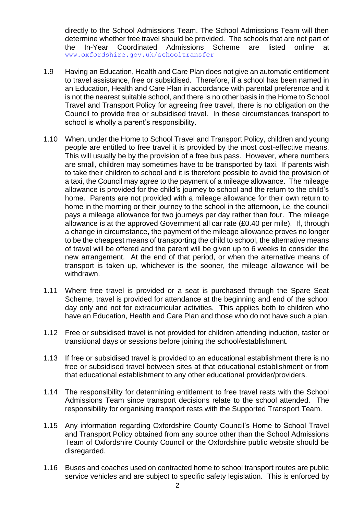directly to the School Admissions Team. The School Admissions Team will then determine whether free travel should be provided. The schools that are not part of the In-Year Coordinated Admissions Scheme are listed online at [www.oxfordshire.gov.uk/schooltransfer](http://www.oxfordshire.gov.uk/schooltransfer)

- 1.9 Having an Education, Health and Care Plan does not give an automatic entitlement to travel assistance, free or subsidised. Therefore, if a school has been named in an Education, Health and Care Plan in accordance with parental preference and it is not the nearest suitable school, and there is no other basis in the Home to School Travel and Transport Policy for agreeing free travel, there is no obligation on the Council to provide free or subsidised travel. In these circumstances transport to school is wholly a parent's responsibility.
- 1.10 When, under the Home to School Travel and Transport Policy, children and young people are entitled to free travel it is provided by the most cost-effective means. This will usually be by the provision of a free bus pass. However, where numbers are small, children may sometimes have to be transported by taxi. If parents wish to take their children to school and it is therefore possible to avoid the provision of a taxi, the Council may agree to the payment of a mileage allowance. The mileage allowance is provided for the child's journey to school and the return to the child's home. Parents are not provided with a mileage allowance for their own return to home in the morning or their journey to the school in the afternoon, i.e. the council pays a mileage allowance for two journeys per day rather than four. The mileage allowance is at the approved Government all car rate (£0.40 per mile). If, through a change in circumstance, the payment of the mileage allowance proves no longer to be the cheapest means of transporting the child to school, the alternative means of travel will be offered and the parent will be given up to 6 weeks to consider the new arrangement. At the end of that period, or when the alternative means of transport is taken up, whichever is the sooner, the mileage allowance will be withdrawn.
- 1.11 Where free travel is provided or a seat is purchased through the Spare Seat Scheme, travel is provided for attendance at the beginning and end of the school day only and not for extracurricular activities. This applies both to children who have an Education, Health and Care Plan and those who do not have such a plan.
- 1.12 Free or subsidised travel is not provided for children attending induction, taster or transitional days or sessions before joining the school/establishment.
- 1.13 If free or subsidised travel is provided to an educational establishment there is no free or subsidised travel between sites at that educational establishment or from that educational establishment to any other educational provider/providers.
- 1.14 The responsibility for determining entitlement to free travel rests with the School Admissions Team since transport decisions relate to the school attended. The responsibility for organising transport rests with the Supported Transport Team.
- 1.15 Any information regarding Oxfordshire County Council's Home to School Travel and Transport Policy obtained from any source other than the School Admissions Team of Oxfordshire County Council or the Oxfordshire public website should be disregarded.
- 1.16 Buses and coaches used on contracted home to school transport routes are public service vehicles and are subject to specific safety legislation. This is enforced by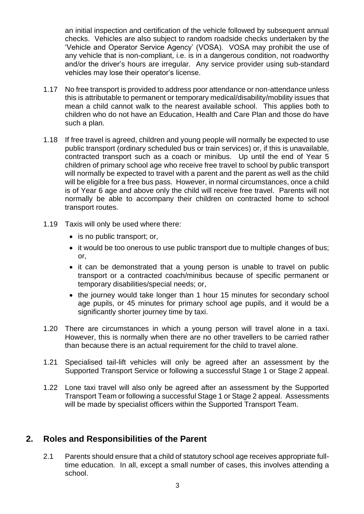an initial inspection and certification of the vehicle followed by subsequent annual checks. Vehicles are also subject to random roadside checks undertaken by the 'Vehicle and Operator Service Agency' (VOSA). VOSA may prohibit the use of any vehicle that is non-compliant, i.e. is in a dangerous condition, not roadworthy and/or the driver's hours are irregular. Any service provider using sub-standard vehicles may lose their operator's license.

- 1.17 No free transport is provided to address poor attendance or non-attendance unless this is attributable to permanent or temporary medical/disability/mobility issues that mean a child cannot walk to the nearest available school. This applies both to children who do not have an Education, Health and Care Plan and those do have such a plan.
- 1.18 If free travel is agreed, children and young people will normally be expected to use public transport (ordinary scheduled bus or train services) or, if this is unavailable, contracted transport such as a coach or minibus. Up until the end of Year 5 children of primary school age who receive free travel to school by public transport will normally be expected to travel with a parent and the parent as well as the child will be eligible for a free bus pass. However, in normal circumstances, once a child is of Year 6 age and above only the child will receive free travel. Parents will not normally be able to accompany their children on contracted home to school transport routes.
- 1.19 Taxis will only be used where there:
	- is no public transport; or,
	- it would be too onerous to use public transport due to multiple changes of bus; or,
	- it can be demonstrated that a young person is unable to travel on public transport or a contracted coach/minibus because of specific permanent or temporary disabilities/special needs; or,
	- the journey would take longer than 1 hour 15 minutes for secondary school age pupils, or 45 minutes for primary school age pupils, and it would be a significantly shorter journey time by taxi.
- 1.20 There are circumstances in which a young person will travel alone in a taxi. However, this is normally when there are no other travellers to be carried rather than because there is an actual requirement for the child to travel alone.
- 1.21 Specialised tail-lift vehicles will only be agreed after an assessment by the Supported Transport Service or following a successful Stage 1 or Stage 2 appeal.
- 1.22 Lone taxi travel will also only be agreed after an assessment by the Supported Transport Team or following a successful Stage 1 or Stage 2 appeal. Assessments will be made by specialist officers within the Supported Transport Team.

#### **2. Roles and Responsibilities of the Parent**

2.1 Parents should ensure that a child of statutory school age receives appropriate fulltime education. In all, except a small number of cases, this involves attending a school.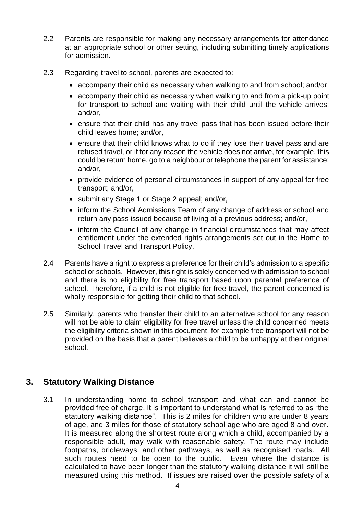- 2.2 Parents are responsible for making any necessary arrangements for attendance at an appropriate school or other setting, including submitting timely applications for admission.
- 2.3 Regarding travel to school, parents are expected to:
	- accompany their child as necessary when walking to and from school; and/or,
	- accompany their child as necessary when walking to and from a pick-up point for transport to school and waiting with their child until the vehicle arrives; and/or,
	- ensure that their child has any travel pass that has been issued before their child leaves home; and/or,
	- ensure that their child knows what to do if they lose their travel pass and are refused travel, or if for any reason the vehicle does not arrive, for example, this could be return home, go to a neighbour or telephone the parent for assistance; and/or,
	- provide evidence of personal circumstances in support of any appeal for free transport; and/or,
	- submit any Stage 1 or Stage 2 appeal; and/or,
	- inform the School Admissions Team of any change of address or school and return any pass issued because of living at a previous address; and/or,
	- inform the Council of any change in financial circumstances that may affect entitlement under the extended rights arrangements set out in the Home to School Travel and Transport Policy.
- 2.4 Parents have a right to express a preference for their child's admission to a specific school or schools. However, this right is solely concerned with admission to school and there is no eligibility for free transport based upon parental preference of school. Therefore, if a child is not eligible for free travel, the parent concerned is wholly responsible for getting their child to that school.
- 2.5 Similarly, parents who transfer their child to an alternative school for any reason will not be able to claim eligibility for free travel unless the child concerned meets the eligibility criteria shown in this document, for example free transport will not be provided on the basis that a parent believes a child to be unhappy at their original school.

# **3. Statutory Walking Distance**

3.1 In understanding home to school transport and what can and cannot be provided free of charge, it is important to understand what is referred to as "the statutory walking distance". This is 2 miles for children who are under 8 years of age, and 3 miles for those of statutory school age who are aged 8 and over. It is measured along the shortest route along which a child, accompanied by a responsible adult, may walk with reasonable safety. The route may include footpaths, bridleways, and other pathways, as well as recognised roads. All such routes need to be open to the public. Even where the distance is calculated to have been longer than the statutory walking distance it will still be measured using this method. If issues are raised over the possible safety of a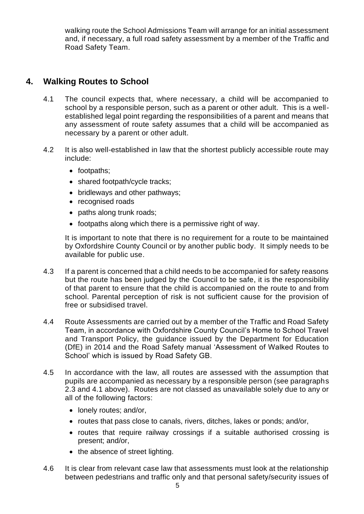walking route the School Admissions Team will arrange for an initial assessment and, if necessary, a full road safety assessment by a member of the Traffic and Road Safety Team.

# **4. Walking Routes to School**

- 4.1 The council expects that, where necessary, a child will be accompanied to school by a responsible person, such as a parent or other adult. This is a wellestablished legal point regarding the responsibilities of a parent and means that any assessment of route safety assumes that a child will be accompanied as necessary by a parent or other adult.
- 4.2 It is also well-established in law that the shortest publicly accessible route may include:
	- footpaths;
	- shared footpath/cycle tracks;
	- bridleways and other pathways;
	- recognised roads
	- paths along trunk roads;
	- footpaths along which there is a permissive right of way.

It is important to note that there is no requirement for a route to be maintained by Oxfordshire County Council or by another public body. It simply needs to be available for public use.

- 4.3 If a parent is concerned that a child needs to be accompanied for safety reasons but the route has been judged by the Council to be safe, it is the responsibility of that parent to ensure that the child is accompanied on the route to and from school. Parental perception of risk is not sufficient cause for the provision of free or subsidised travel.
- 4.4 Route Assessments are carried out by a member of the Traffic and Road Safety Team, in accordance with Oxfordshire County Council's Home to School Travel and Transport Policy, the guidance issued by the Department for Education (DfE) in 2014 and the Road Safety manual 'Assessment of Walked Routes to School' which is issued by Road Safety GB.
- 4.5 In accordance with the law, all routes are assessed with the assumption that pupils are accompanied as necessary by a responsible person (see paragraphs 2.3 and 4.1 above). Routes are not classed as unavailable solely due to any or all of the following factors:
	- lonely routes; and/or,
	- routes that pass close to canals, rivers, ditches, lakes or ponds; and/or,
	- routes that require railway crossings if a suitable authorised crossing is present; and/or,
	- the absence of street lighting.
- 4.6 It is clear from relevant case law that assessments must look at the relationship between pedestrians and traffic only and that personal safety/security issues of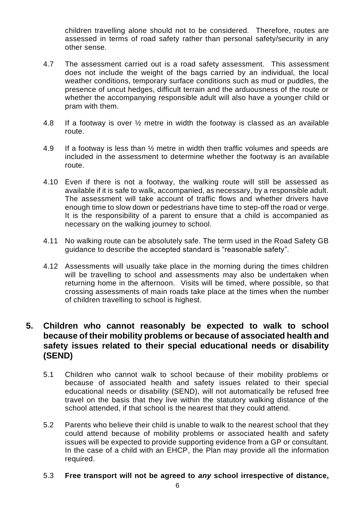children travelling alone should not to be considered. Therefore, routes are assessed in terms of road safety rather than personal safety/security in any other sense.

- 4.7 The assessment carried out is a road safety assessment. This assessment does not include the weight of the bags carried by an individual, the local weather conditions, temporary surface conditions such as mud or puddles, the presence of uncut hedges, difficult terrain and the arduousness of the route or whether the accompanying responsible adult will also have a younger child or pram with them.
- 4.8 If a footway is over ½ metre in width the footway is classed as an available route.
- 4.9 If a footway is less than  $\frac{1}{2}$  metre in width then traffic volumes and speeds are included in the assessment to determine whether the footway is an available route.
- 4.10 Even if there is not a footway, the walking route will still be assessed as available if it is safe to walk, accompanied, as necessary, by a responsible adult. The assessment will take account of traffic flows and whether drivers have enough time to slow down or pedestrians have time to step-off the road or verge. It is the responsibility of a parent to ensure that a child is accompanied as necessary on the walking journey to school.
- 4.11 No walking route can be absolutely safe. The term used in the Road Safety GB guidance to describe the accepted standard is "reasonable safety".
- 4.12 Assessments will usually take place in the morning during the times children will be travelling to school and assessments may also be undertaken when returning home in the afternoon. Visits will be timed, where possible, so that crossing assessments of main roads take place at the times when the number of children travelling to school is highest.

#### **5. Children who cannot reasonably be expected to walk to school because of their mobility problems or because of associated health and safety issues related to their special educational needs or disability (SEND)**

- 5.1 Children who cannot walk to school because of their mobility problems or because of associated health and safety issues related to their special educational needs or disability (SEND), will not automatically be refused free travel on the basis that they live within the statutory walking distance of the school attended, if that school is the nearest that they could attend.
- 5.2 Parents who believe their child is unable to walk to the nearest school that they could attend because of mobility problems or associated health and safety issues will be expected to provide supporting evidence from a GP or consultant. In the case of a child with an EHCP, the Plan may provide all the information required.

#### 5.3 **Free transport will not be agreed to** *any* **school irrespective of distance,**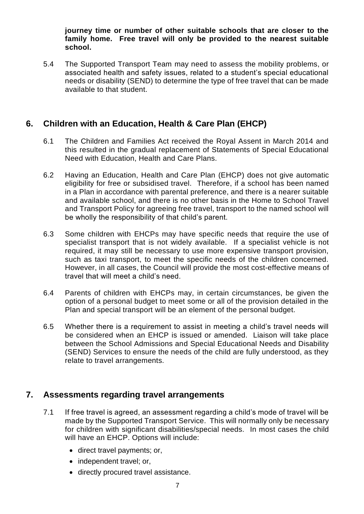**journey time or number of other suitable schools that are closer to the family home. Free travel will only be provided to the nearest suitable school.**

5.4 The Supported Transport Team may need to assess the mobility problems, or associated health and safety issues, related to a student's special educational needs or disability (SEND) to determine the type of free travel that can be made available to that student.

#### **6. Children with an Education, Health & Care Plan (EHCP)**

- 6.1 The Children and Families Act received the Royal Assent in March 2014 and this resulted in the gradual replacement of Statements of Special Educational Need with Education, Health and Care Plans.
- 6.2 Having an Education, Health and Care Plan (EHCP) does not give automatic eligibility for free or subsidised travel. Therefore, if a school has been named in a Plan in accordance with parental preference, and there is a nearer suitable and available school, and there is no other basis in the Home to School Travel and Transport Policy for agreeing free travel, transport to the named school will be wholly the responsibility of that child's parent.
- 6.3 Some children with EHCPs may have specific needs that require the use of specialist transport that is not widely available. If a specialist vehicle is not required, it may still be necessary to use more expensive transport provision, such as taxi transport, to meet the specific needs of the children concerned. However, in all cases, the Council will provide the most cost-effective means of travel that will meet a child's need.
- 6.4 Parents of children with EHCPs may, in certain circumstances, be given the option of a personal budget to meet some or all of the provision detailed in the Plan and special transport will be an element of the personal budget.
- 6.5 Whether there is a requirement to assist in meeting a child's travel needs will be considered when an EHCP is issued or amended. Liaison will take place between the School Admissions and Special Educational Needs and Disability (SEND) Services to ensure the needs of the child are fully understood, as they relate to travel arrangements.

#### **7. Assessments regarding travel arrangements**

- 7.1 If free travel is agreed, an assessment regarding a child's mode of travel will be made by the Supported Transport Service. This will normally only be necessary for children with significant disabilities/special needs. In most cases the child will have an EHCP. Options will include:
	- direct travel payments; or,
	- independent travel; or,
	- directly procured travel assistance.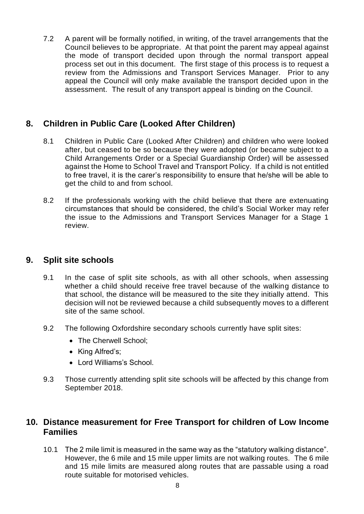7.2 A parent will be formally notified, in writing, of the travel arrangements that the Council believes to be appropriate. At that point the parent may appeal against the mode of transport decided upon through the normal transport appeal process set out in this document. The first stage of this process is to request a review from the Admissions and Transport Services Manager. Prior to any appeal the Council will only make available the transport decided upon in the assessment. The result of any transport appeal is binding on the Council.

# **8. Children in Public Care (Looked After Children)**

- 8.1 Children in Public Care (Looked After Children) and children who were looked after, but ceased to be so because they were adopted (or became subject to a Child Arrangements Order or a Special Guardianship Order) will be assessed against the Home to School Travel and Transport Policy. If a child is not entitled to free travel, it is the carer's responsibility to ensure that he/she will be able to get the child to and from school.
- 8.2 If the professionals working with the child believe that there are extenuating circumstances that should be considered, the child's Social Worker may refer the issue to the Admissions and Transport Services Manager for a Stage 1 review.

# **9. Split site schools**

- 9.1 In the case of split site schools, as with all other schools, when assessing whether a child should receive free travel because of the walking distance to that school, the distance will be measured to the site they initially attend. This decision will not be reviewed because a child subsequently moves to a different site of the same school.
- 9.2 The following Oxfordshire secondary schools currently have split sites:
	- The Cherwell School:
	- King Alfred's;
	- Lord Williams's School.
- 9.3 Those currently attending split site schools will be affected by this change from September 2018.

# **10. Distance measurement for Free Transport for children of Low Income Families**

10.1 The 2 mile limit is measured in the same way as the "statutory walking distance". However, the 6 mile and 15 mile upper limits are not walking routes. The 6 mile and 15 mile limits are measured along routes that are passable using a road route suitable for motorised vehicles.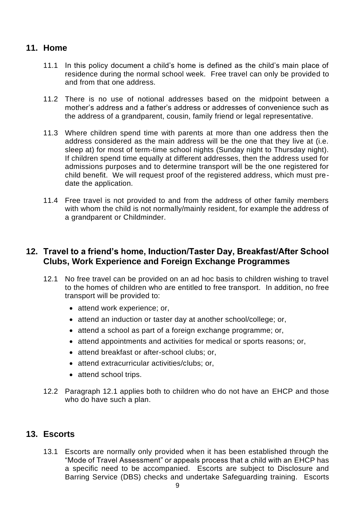# **11. Home**

- 11.1 In this policy document a child's home is defined as the child's main place of residence during the normal school week. Free travel can only be provided to and from that one address.
- 11.2 There is no use of notional addresses based on the midpoint between a mother's address and a father's address or addresses of convenience such as the address of a grandparent, cousin, family friend or legal representative.
- 11.3 Where children spend time with parents at more than one address then the address considered as the main address will be the one that they live at (i.e. sleep at) for most of term-time school nights (Sunday night to Thursday night). If children spend time equally at different addresses, then the address used for admissions purposes and to determine transport will be the one registered for child benefit. We will request proof of the registered address, which must predate the application.
- 11.4 Free travel is not provided to and from the address of other family members with whom the child is not normally/mainly resident, for example the address of a grandparent or Childminder.

#### **12. Travel to a friend's home, Induction/Taster Day, Breakfast/After School Clubs, Work Experience and Foreign Exchange Programmes**

- 12.1 No free travel can be provided on an ad hoc basis to children wishing to travel to the homes of children who are entitled to free transport. In addition, no free transport will be provided to:
	- attend work experience; or,
	- attend an induction or taster day at another school/college; or,
	- attend a school as part of a foreign exchange programme; or,
	- attend appointments and activities for medical or sports reasons; or,
	- attend breakfast or after-school clubs; or,
	- attend extracurricular activities/clubs; or,
	- attend school trips.
- 12.2 Paragraph 12.1 applies both to children who do not have an EHCP and those who do have such a plan.

# **13. Escorts**

13.1 Escorts are normally only provided when it has been established through the "Mode of Travel Assessment" or appeals process that a child with an EHCP has a specific need to be accompanied. Escorts are subject to Disclosure and Barring Service (DBS) checks and undertake Safeguarding training. Escorts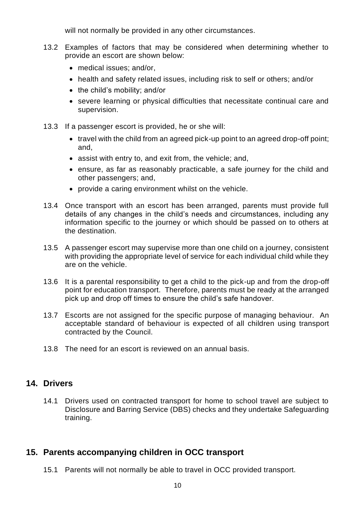will not normally be provided in any other circumstances.

- 13.2 Examples of factors that may be considered when determining whether to provide an escort are shown below:
	- medical issues; and/or,
	- health and safety related issues, including risk to self or others; and/or
	- the child's mobility; and/or
	- severe learning or physical difficulties that necessitate continual care and supervision.
- 13.3 If a passenger escort is provided, he or she will:
	- travel with the child from an agreed pick-up point to an agreed drop-off point; and,
	- assist with entry to, and exit from, the vehicle; and,
	- ensure, as far as reasonably practicable, a safe journey for the child and other passengers; and,
	- provide a caring environment whilst on the vehicle.
- 13.4 Once transport with an escort has been arranged, parents must provide full details of any changes in the child's needs and circumstances, including any information specific to the journey or which should be passed on to others at the destination.
- 13.5 A passenger escort may supervise more than one child on a journey, consistent with providing the appropriate level of service for each individual child while they are on the vehicle.
- 13.6 It is a parental responsibility to get a child to the pick-up and from the drop-off point for education transport. Therefore, parents must be ready at the arranged pick up and drop off times to ensure the child's safe handover.
- 13.7 Escorts are not assigned for the specific purpose of managing behaviour. An acceptable standard of behaviour is expected of all children using transport contracted by the Council.
- 13.8 The need for an escort is reviewed on an annual basis.

#### **14. Drivers**

14.1 Drivers used on contracted transport for home to school travel are subject to Disclosure and Barring Service (DBS) checks and they undertake Safeguarding training.

# **15. Parents accompanying children in OCC transport**

15.1 Parents will not normally be able to travel in OCC provided transport.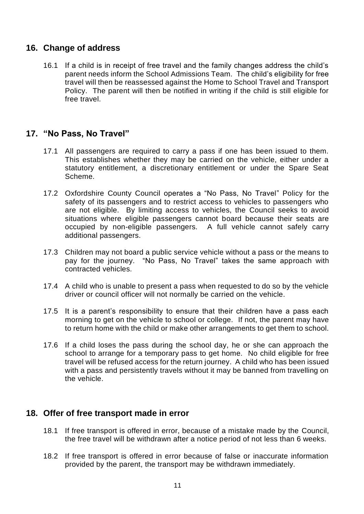#### **16. Change of address**

16.1 If a child is in receipt of free travel and the family changes address the child's parent needs inform the School Admissions Team. The child's eligibility for free travel will then be reassessed against the Home to School Travel and Transport Policy. The parent will then be notified in writing if the child is still eligible for free travel.

#### **17. "No Pass, No Travel"**

- 17.1 All passengers are required to carry a pass if one has been issued to them. This establishes whether they may be carried on the vehicle, either under a statutory entitlement, a discretionary entitlement or under the Spare Seat Scheme.
- 17.2 Oxfordshire County Council operates a "No Pass, No Travel" Policy for the safety of its passengers and to restrict access to vehicles to passengers who are not eligible. By limiting access to vehicles, the Council seeks to avoid situations where eligible passengers cannot board because their seats are occupied by non-eligible passengers. A full vehicle cannot safely carry additional passengers.
- 17.3 Children may not board a public service vehicle without a pass or the means to pay for the journey. "No Pass, No Travel" takes the same approach with contracted vehicles.
- 17.4 A child who is unable to present a pass when requested to do so by the vehicle driver or council officer will not normally be carried on the vehicle.
- 17.5 It is a parent's responsibility to ensure that their children have a pass each morning to get on the vehicle to school or college. If not, the parent may have to return home with the child or make other arrangements to get them to school.
- 17.6 If a child loses the pass during the school day, he or she can approach the school to arrange for a temporary pass to get home. No child eligible for free travel will be refused access for the return journey. A child who has been issued with a pass and persistently travels without it may be banned from travelling on the vehicle.

#### **18. Offer of free transport made in error**

- 18.1 If free transport is offered in error, because of a mistake made by the Council, the free travel will be withdrawn after a notice period of not less than 6 weeks.
- 18.2 If free transport is offered in error because of false or inaccurate information provided by the parent, the transport may be withdrawn immediately.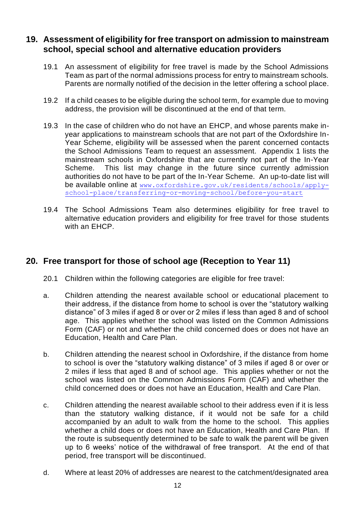#### **19. Assessment of eligibility for free transport on admission to mainstream school, special school and alternative education providers**

- 19.1 An assessment of eligibility for free travel is made by the School Admissions Team as part of the normal admissions process for entry to mainstream schools. Parents are normally notified of the decision in the letter offering a school place.
- 19.2 If a child ceases to be eligible during the school term, for example due to moving address, the provision will be discontinued at the end of that term.
- 19.3 In the case of children who do not have an EHCP, and whose parents make inyear applications to mainstream schools that are not part of the Oxfordshire In-Year Scheme, eligibility will be assessed when the parent concerned contacts the School Admissions Team to request an assessment. Appendix 1 lists the mainstream schools in Oxfordshire that are currently not part of the In-Year Scheme. This list may change in the future since currently admission authorities do not have to be part of the In-Year Scheme. An up-to-date list will be available online at [www.oxfordshire.gov.uk/residents/schools/apply](http://www.oxfordshire.gov.uk/residents/schools/apply-school-place/transferring-or-moving-school/before-you-start)[school-place/transferring-or-moving-school/before-you-start](http://www.oxfordshire.gov.uk/residents/schools/apply-school-place/transferring-or-moving-school/before-you-start)
- 19.4 The School Admissions Team also determines eligibility for free travel to alternative education providers and eligibility for free travel for those students with an EHCP.

# **20. Free transport for those of school age (Reception to Year 11)**

- 20.1 Children within the following categories are eligible for free travel:
- a. Children attending the nearest available school or educational placement to their address, if the distance from home to school is over the "statutory walking distance" of 3 miles if aged 8 or over or 2 miles if less than aged 8 and of school age. This applies whether the school was listed on the Common Admissions Form (CAF) or not and whether the child concerned does or does not have an Education, Health and Care Plan.
- b. Children attending the nearest school in Oxfordshire, if the distance from home to school is over the "statutory walking distance" of 3 miles if aged 8 or over or 2 miles if less that aged 8 and of school age. This applies whether or not the school was listed on the Common Admissions Form (CAF) and whether the child concerned does or does not have an Education, Health and Care Plan.
- c. Children attending the nearest available school to their address even if it is less than the statutory walking distance, if it would not be safe for a child accompanied by an adult to walk from the home to the school. This applies whether a child does or does not have an Education, Health and Care Plan. If the route is subsequently determined to be safe to walk the parent will be given up to 6 weeks' notice of the withdrawal of free transport. At the end of that period, free transport will be discontinued.
- d. Where at least 20% of addresses are nearest to the catchment/designated area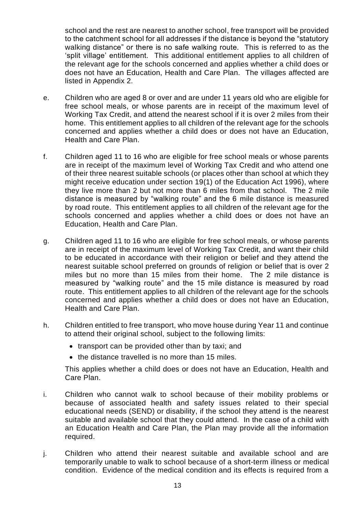school and the rest are nearest to another school, free transport will be provided to the catchment school for all addresses if the distance is beyond the "statutory walking distance" or there is no safe walking route. This is referred to as the 'split village' entitlement. This additional entitlement applies to all children of the relevant age for the schools concerned and applies whether a child does or does not have an Education, Health and Care Plan. The villages affected are listed in Appendix 2.

- e. Children who are aged 8 or over and are under 11 years old who are eligible for free school meals, or whose parents are in receipt of the maximum level of Working Tax Credit, and attend the nearest school if it is over 2 miles from their home. This entitlement applies to all children of the relevant age for the schools concerned and applies whether a child does or does not have an Education, Health and Care Plan.
- f. Children aged 11 to 16 who are eligible for free school meals or whose parents are in receipt of the maximum level of Working Tax Credit and who attend one of their three nearest suitable schools (or places other than school at which they might receive education under section 19(1) of the Education Act 1996), where they live more than 2 but not more than 6 miles from that school. The 2 mile distance is measured by "walking route" and the 6 mile distance is measured by road route. This entitlement applies to all children of the relevant age for the schools concerned and applies whether a child does or does not have an Education, Health and Care Plan.
- g. Children aged 11 to 16 who are eligible for free school meals, or whose parents are in receipt of the maximum level of Working Tax Credit, and want their child to be educated in accordance with their religion or belief and they attend the nearest suitable school preferred on grounds of religion or belief that is over 2 miles but no more than 15 miles from their home. The 2 mile distance is measured by "walking route" and the 15 mile distance is measured by road route. This entitlement applies to all children of the relevant age for the schools concerned and applies whether a child does or does not have an Education, Health and Care Plan.
- h. Children entitled to free transport, who move house during Year 11 and continue to attend their original school, subject to the following limits:
	- transport can be provided other than by taxi; and
	- the distance travelled is no more than 15 miles.

This applies whether a child does or does not have an Education, Health and Care Plan.

- i. Children who cannot walk to school because of their mobility problems or because of associated health and safety issues related to their special educational needs (SEND) or disability, if the school they attend is the nearest suitable and available school that they could attend. In the case of a child with an Education Health and Care Plan, the Plan may provide all the information required.
- j. Children who attend their nearest suitable and available school and are temporarily unable to walk to school because of a short-term illness or medical condition. Evidence of the medical condition and its effects is required from a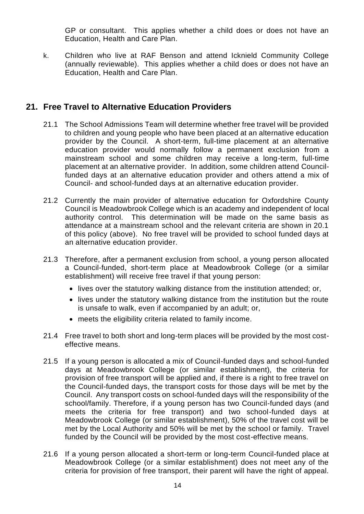GP or consultant. This applies whether a child does or does not have an Education, Health and Care Plan.

k. Children who live at RAF Benson and attend Icknield Community College (annually reviewable). This applies whether a child does or does not have an Education, Health and Care Plan.

# **21. Free Travel to Alternative Education Providers**

- 21.1 The School Admissions Team will determine whether free travel will be provided to children and young people who have been placed at an alternative education provider by the Council. A short-term, full-time placement at an alternative education provider would normally follow a permanent exclusion from a mainstream school and some children may receive a long-term, full-time placement at an alternative provider. In addition, some children attend Councilfunded days at an alternative education provider and others attend a mix of Council- and school-funded days at an alternative education provider.
- 21.2 Currently the main provider of alternative education for Oxfordshire County Council is Meadowbrook College which is an academy and independent of local authority control. This determination will be made on the same basis as attendance at a mainstream school and the relevant criteria are shown in 20.1 of this policy (above). No free travel will be provided to school funded days at an alternative education provider.
- 21.3 Therefore, after a permanent exclusion from school, a young person allocated a Council-funded, short-term place at Meadowbrook College (or a similar establishment) will receive free travel if that young person:
	- lives over the statutory walking distance from the institution attended; or,
	- lives under the statutory walking distance from the institution but the route is unsafe to walk, even if accompanied by an adult; or,
	- meets the eligibility criteria related to family income.
- 21.4 Free travel to both short and long-term places will be provided by the most costeffective means.
- 21.5 If a young person is allocated a mix of Council-funded days and school-funded days at Meadowbrook College (or similar establishment), the criteria for provision of free transport will be applied and, if there is a right to free travel on the Council-funded days, the transport costs for those days will be met by the Council. Any transport costs on school-funded days will the responsibility of the school/family. Therefore, if a young person has two Council-funded days (and meets the criteria for free transport) and two school-funded days at Meadowbrook College (or similar establishment), 50% of the travel cost will be met by the Local Authority and 50% will be met by the school or family. Travel funded by the Council will be provided by the most cost-effective means.
- 21.6 If a young person allocated a short-term or long-term Council-funded place at Meadowbrook College (or a similar establishment) does not meet any of the criteria for provision of free transport, their parent will have the right of appeal.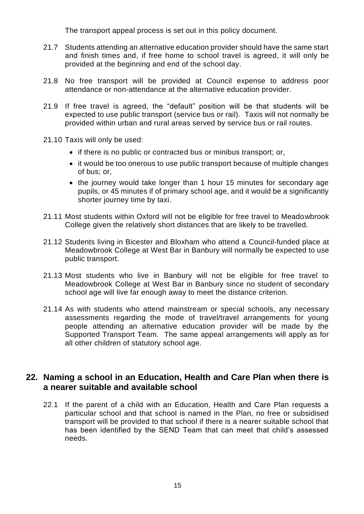The transport appeal process is set out in this policy document.

- 21.7 Students attending an alternative education provider should have the same start and finish times and, if free home to school travel is agreed, it will only be provided at the beginning and end of the school day.
- 21.8 No free transport will be provided at Council expense to address poor attendance or non-attendance at the alternative education provider.
- 21.9 If free travel is agreed, the "default" position will be that students will be expected to use public transport (service bus or rail). Taxis will not normally be provided within urban and rural areas served by service bus or rail routes.
- 21.10 Taxis will only be used:
	- if there is no public or contracted bus or minibus transport; or,
	- it would be too onerous to use public transport because of multiple changes of bus; or,
	- the journey would take longer than 1 hour 15 minutes for secondary age pupils, or 45 minutes if of primary school age, and it would be a significantly shorter journey time by taxi.
- 21.11 Most students within Oxford will not be eligible for free travel to Meadowbrook College given the relatively short distances that are likely to be travelled.
- 21.12 Students living in Bicester and Bloxham who attend a Council-funded place at Meadowbrook College at West Bar in Banbury will normally be expected to use public transport.
- 21.13 Most students who live in Banbury will not be eligible for free travel to Meadowbrook College at West Bar in Banbury since no student of secondary school age will live far enough away to meet the distance criterion.
- 21.14 As with students who attend mainstream or special schools, any necessary assessments regarding the mode of travel/travel arrangements for young people attending an alternative education provider will be made by the Supported Transport Team. The same appeal arrangements will apply as for all other children of statutory school age.

#### **22. Naming a school in an Education, Health and Care Plan when there is a nearer suitable and available school**

22.1 If the parent of a child with an Education, Health and Care Plan requests a particular school and that school is named in the Plan, no free or subsidised transport will be provided to that school if there is a nearer suitable school that has been identified by the SEND Team that can meet that child's assessed needs.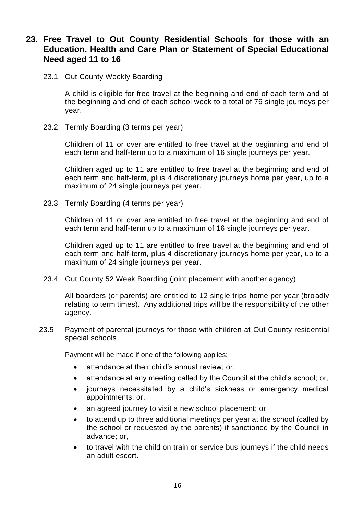#### **23. Free Travel to Out County Residential Schools for those with an Education, Health and Care Plan or Statement of Special Educational Need aged 11 to 16**

23.1 Out County Weekly Boarding

A child is eligible for free travel at the beginning and end of each term and at the beginning and end of each school week to a total of 76 single journeys per year.

23.2 Termly Boarding (3 terms per year)

Children of 11 or over are entitled to free travel at the beginning and end of each term and half-term up to a maximum of 16 single journeys per year.

Children aged up to 11 are entitled to free travel at the beginning and end of each term and half-term, plus 4 discretionary journeys home per year, up to a maximum of 24 single journeys per year.

23.3 Termly Boarding (4 terms per year)

Children of 11 or over are entitled to free travel at the beginning and end of each term and half-term up to a maximum of 16 single journeys per year.

Children aged up to 11 are entitled to free travel at the beginning and end of each term and half-term, plus 4 discretionary journeys home per year, up to a maximum of 24 single journeys per year.

23.4 Out County 52 Week Boarding (joint placement with another agency)

All boarders (or parents) are entitled to 12 single trips home per year (broadly relating to term times). Any additional trips will be the responsibility of the other agency.

23.5 Payment of parental journeys for those with children at Out County residential special schools

Payment will be made if one of the following applies:

- attendance at their child's annual review; or,
- attendance at any meeting called by the Council at the child's school; or,
- journeys necessitated by a child's sickness or emergency medical appointments; or,
- an agreed journey to visit a new school placement; or,
- to attend up to three additional meetings per year at the school (called by the school or requested by the parents) if sanctioned by the Council in advance; or,
- to travel with the child on train or service bus journeys if the child needs an adult escort.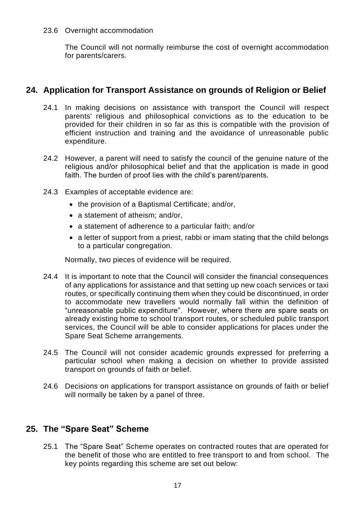#### 23.6 Overnight accommodation

The Council will not normally reimburse the cost of overnight accommodation for parents/carers.

#### **24. Application for Transport Assistance on grounds of Religion or Belief**

- 24.1 In making decisions on assistance with transport the Council will respect parents' religious and philosophical convictions as to the education to be provided for their children in so far as this is compatible with the provision of efficient instruction and training and the avoidance of unreasonable public expenditure.
- 24.2 However, a parent will need to satisfy the council of the genuine nature of the religious and/or philosophical belief and that the application is made in good faith. The burden of proof lies with the child's parent/parents.
- 24.3 Examples of acceptable evidence are:
	- the provision of a Baptismal Certificate; and/or,
	- a statement of atheism; and/or,
	- a statement of adherence to a particular faith; and/or
	- a letter of support from a priest, rabbi or imam stating that the child belongs to a particular congregation.

Normally, two pieces of evidence will be required.

- 24.4 It is important to note that the Council will consider the financial consequences of any applications for assistance and that setting up new coach services or taxi routes, or specifically continuing them when they could be discontinued, in order to accommodate new travellers would normally fall within the definition of "unreasonable public expenditure". However, where there are spare seats on already existing home to school transport routes, or scheduled public transport services, the Council will be able to consider applications for places under the Spare Seat Scheme arrangements.
- 24.5 The Council will not consider academic grounds expressed for preferring a particular school when making a decision on whether to provide assisted transport on grounds of faith or belief.
- 24.6 Decisions on applications for transport assistance on grounds of faith or belief will normally be taken by a panel of three.

#### **25. The "Spare Seat" Scheme**

25.1 The "Spare Seat" Scheme operates on contracted routes that are operated for the benefit of those who are entitled to free transport to and from school. The key points regarding this scheme are set out below: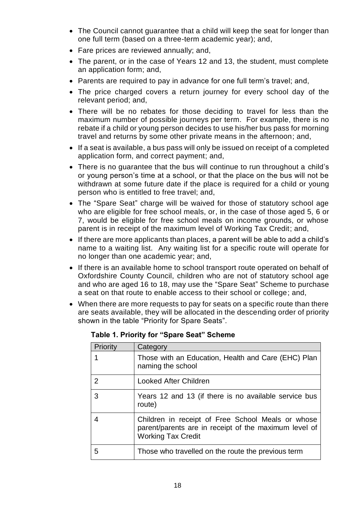- The Council cannot guarantee that a child will keep the seat for longer than one full term (based on a three-term academic year); and,
- Fare prices are reviewed annually; and,
- The parent, or in the case of Years 12 and 13, the student, must complete an application form; and,
- Parents are required to pay in advance for one full term's travel; and,
- The price charged covers a return journey for every school day of the relevant period; and,
- There will be no rebates for those deciding to travel for less than the maximum number of possible journeys per term. For example, there is no rebate if a child or young person decides to use his/her bus pass for morning travel and returns by some other private means in the afternoon; and,
- If a seat is available, a bus pass will only be issued on receipt of a completed application form, and correct payment; and,
- There is no guarantee that the bus will continue to run throughout a child's or young person's time at a school, or that the place on the bus will not be withdrawn at some future date if the place is required for a child or young person who is entitled to free travel; and,
- The "Spare Seat" charge will be waived for those of statutory school age who are eligible for free school meals, or, in the case of those aged 5, 6 or 7, would be eligible for free school meals on income grounds, or whose parent is in receipt of the maximum level of Working Tax Credit; and,
- If there are more applicants than places, a parent will be able to add a child's name to a waiting list. Any waiting list for a specific route will operate for no longer than one academic year; and,
- If there is an available home to school transport route operated on behalf of Oxfordshire County Council, children who are not of statutory school age and who are aged 16 to 18, may use the "Spare Seat" Scheme to purchase a seat on that route to enable access to their school or college; and,
- When there are more requests to pay for seats on a specific route than there are seats available, they will be allocated in the descending order of priority shown in the table "Priority for Spare Seats".

| Priority | Category                                                                                                                                |
|----------|-----------------------------------------------------------------------------------------------------------------------------------------|
|          | Those with an Education, Health and Care (EHC) Plan<br>naming the school                                                                |
| 2        | Looked After Children                                                                                                                   |
| 3        | Years 12 and 13 (if there is no available service bus<br>route)                                                                         |
| 4        | Children in receipt of Free School Meals or whose<br>parent/parents are in receipt of the maximum level of<br><b>Working Tax Credit</b> |
| 5        | Those who travelled on the route the previous term                                                                                      |

**Table 1. Priority for "Spare Seat" Scheme**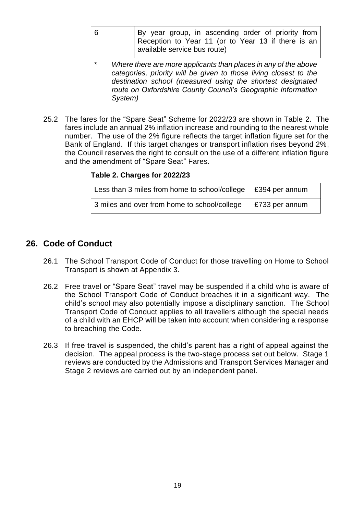| -6 | By year group, in ascending order of priority from |
|----|----------------------------------------------------|
|    | Reception to Year 11 (or to Year 13 if there is an |
|    | available service bus route)                       |

- \* *Where there are more applicants than places in any of the above categories, priority will be given to those living closest to the destination school (measured using the shortest designated route on Oxfordshire County Council's Geographic Information System)*
- 25.2 The fares for the "Spare Seat" Scheme for 2022/23 are shown in Table 2. The fares include an annual 2% inflation increase and rounding to the nearest whole number. The use of the 2% figure reflects the target inflation figure set for the Bank of England. If this target changes or transport inflation rises beyond 2%, the Council reserves the right to consult on the use of a different inflation figure and the amendment of "Spare Seat" Fares.

**Table 2. Charges for 2022/23**

| Less than 3 miles from home to school/college $\frac{1}{2}$ £394 per annum |                        |
|----------------------------------------------------------------------------|------------------------|
| 3 miles and over from home to school/college                               | $\vert$ £733 per annum |

# **26. Code of Conduct**

- 26.1 The School Transport Code of Conduct for those travelling on Home to School Transport is shown at Appendix 3.
- 26.2 Free travel or "Spare Seat" travel may be suspended if a child who is aware of the School Transport Code of Conduct breaches it in a significant way. The child's school may also potentially impose a disciplinary sanction. The School Transport Code of Conduct applies to all travellers although the special needs of a child with an EHCP will be taken into account when considering a response to breaching the Code.
- 26.3 If free travel is suspended, the child's parent has a right of appeal against the decision. The appeal process is the two-stage process set out below. Stage 1 reviews are conducted by the Admissions and Transport Services Manager and Stage 2 reviews are carried out by an independent panel.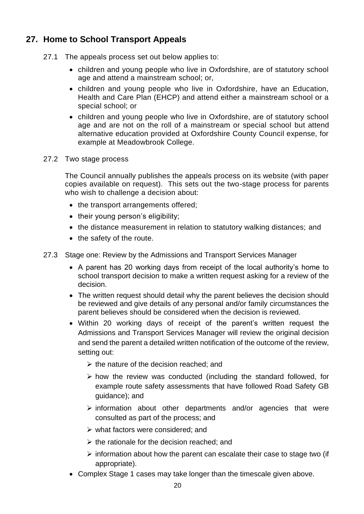# **27. Home to School Transport Appeals**

- 27.1 The appeals process set out below applies to:
	- children and young people who live in Oxfordshire, are of statutory school age and attend a mainstream school; or,
	- children and young people who live in Oxfordshire, have an Education, Health and Care Plan (EHCP) and attend either a mainstream school or a special school; or
	- children and young people who live in Oxfordshire, are of statutory school age and are not on the roll of a mainstream or special school but attend alternative education provided at Oxfordshire County Council expense, for example at Meadowbrook College.
- 27.2 Two stage process

The Council annually publishes the appeals process on its website (with paper copies available on request). This sets out the two-stage process for parents who wish to challenge a decision about:

- the transport arrangements offered;
- their young person's eligibility;
- the distance measurement in relation to statutory walking distances; and
- the safety of the route.
- 27.3 Stage one: Review by the Admissions and Transport Services Manager
	- A parent has 20 working days from receipt of the local authority's home to school transport decision to make a written request asking for a review of the decision.
	- The written request should detail why the parent believes the decision should be reviewed and give details of any personal and/or family circumstances the parent believes should be considered when the decision is reviewed.
	- Within 20 working days of receipt of the parent's written request the Admissions and Transport Services Manager will review the original decision and send the parent a detailed written notification of the outcome of the review, setting out:
		- $\triangleright$  the nature of the decision reached; and
		- $\triangleright$  how the review was conducted (including the standard followed, for example route safety assessments that have followed Road Safety GB guidance); and
		- ➢ information about other departments and/or agencies that were consulted as part of the process; and
		- $\triangleright$  what factors were considered; and
		- $\triangleright$  the rationale for the decision reached; and
		- $\triangleright$  information about how the parent can escalate their case to stage two (if appropriate).
	- Complex Stage 1 cases may take longer than the timescale given above.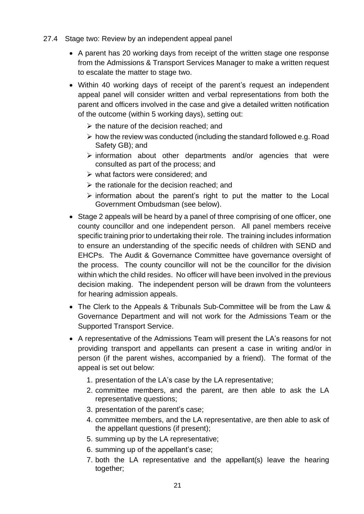- 27.4 Stage two: Review by an independent appeal panel
	- A parent has 20 working days from receipt of the written stage one response from the Admissions & Transport Services Manager to make a written request to escalate the matter to stage two.
	- Within 40 working days of receipt of the parent's request an independent appeal panel will consider written and verbal representations from both the parent and officers involved in the case and give a detailed written notification of the outcome (within 5 working days), setting out:
		- $\triangleright$  the nature of the decision reached; and
		- ➢ how the review was conducted (including the standard followed e.g. Road Safety GB); and
		- ➢ information about other departments and/or agencies that were consulted as part of the process; and
		- ➢ what factors were considered; and
		- $\triangleright$  the rationale for the decision reached: and
		- $\triangleright$  information about the parent's right to put the matter to the Local Government Ombudsman (see below).
	- Stage 2 appeals will be heard by a panel of three comprising of one officer, one county councillor and one independent person. All panel members receive specific training prior to undertaking their role. The training includes information to ensure an understanding of the specific needs of children with SEND and EHCPs. The Audit & Governance Committee have governance oversight of the process. The county councillor will not be the councillor for the division within which the child resides. No officer will have been involved in the previous decision making. The independent person will be drawn from the volunteers for hearing admission appeals.
	- The Clerk to the Appeals & Tribunals Sub-Committee will be from the Law & Governance Department and will not work for the Admissions Team or the Supported Transport Service.
	- A representative of the Admissions Team will present the LA's reasons for not providing transport and appellants can present a case in writing and/or in person (if the parent wishes, accompanied by a friend). The format of the appeal is set out below:
		- 1. presentation of the LA's case by the LA representative;
		- 2. committee members, and the parent, are then able to ask the LA representative questions;
		- 3. presentation of the parent's case;
		- 4. committee members, and the LA representative, are then able to ask of the appellant questions (if present);
		- 5. summing up by the LA representative;
		- 6. summing up of the appellant's case;
		- 7. both the LA representative and the appellant(s) leave the hearing together;